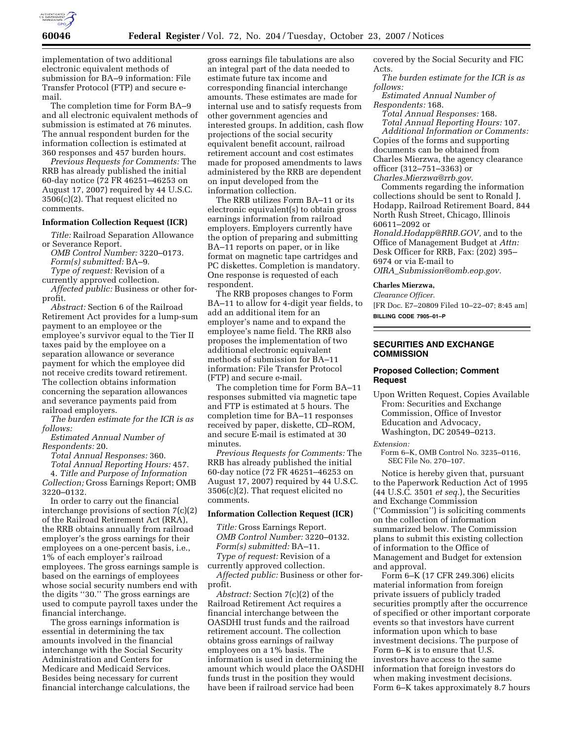

implementation of two additional electronic equivalent methods of submission for BA–9 information: File Transfer Protocol (FTP) and secure email.

The completion time for Form BA–9 and all electronic equivalent methods of submission is estimated at 76 minutes. The annual respondent burden for the information collection is estimated at 360 responses and 457 burden hours.

*Previous Requests for Comments:* The RRB has already published the initial 60-day notice (72 FR 46251–46253 on August 17, 2007) required by 44 U.S.C. 3506(c)(2). That request elicited no comments.

### **Information Collection Request (ICR)**

*Title:* Railroad Separation Allowance or Severance Report.

*OMB Control Number:* 3220–0173. *Form(s) submitted:* BA–9.

*Type of request:* Revision of a

currently approved collection.

*Affected public:* Business or other forprofit.

*Abstract:* Section 6 of the Railroad Retirement Act provides for a lump-sum payment to an employee or the employee's survivor equal to the Tier II taxes paid by the employee on a separation allowance or severance payment for which the employee did not receive credits toward retirement. The collection obtains information concerning the separation allowances and severance payments paid from railroad employers.

*The burden estimate for the ICR is as follows:* 

*Estimated Annual Number of Respondents:* 20.

*Total Annual Responses:* 360.

*Total Annual Reporting Hours:* 457.

4. *Title and Purpose of Information Collection;* Gross Earnings Report; OMB 3220–0132.

In order to carry out the financial interchange provisions of section 7(c)(2) of the Railroad Retirement Act (RRA), the RRB obtains annually from railroad employer's the gross earnings for their employees on a one-percent basis, i.e., 1% of each employer's railroad employees. The gross earnings sample is based on the earnings of employees whose social security numbers end with the digits ''30.'' The gross earnings are used to compute payroll taxes under the financial interchange.

The gross earnings information is essential in determining the tax amounts involved in the financial interchange with the Social Security Administration and Centers for Medicare and Medicaid Services. Besides being necessary for current financial interchange calculations, the

gross earnings file tabulations are also an integral part of the data needed to estimate future tax income and corresponding financial interchange amounts. These estimates are made for internal use and to satisfy requests from other government agencies and interested groups. In addition, cash flow projections of the social security equivalent benefit account, railroad retirement account and cost estimates made for proposed amendments to laws administered by the RRB are dependent on input developed from the information collection.

The RRB utilizes Form BA–11 or its electronic equivalent(s) to obtain gross earnings information from railroad employers. Employers currently have the option of preparing and submitting BA–11 reports on paper, or in like format on magnetic tape cartridges and PC diskettes. Completion is mandatory. One response is requested of each respondent.

The RRB proposes changes to Form BA–11 to allow for 4-digit year fields, to add an additional item for an employer's name and to expand the employee's name field. The RRB also proposes the implementation of two additional electronic equivalent methods of submission for BA–11 information: File Transfer Protocol (FTP) and secure e-mail.

The completion time for Form BA–11 responses submitted via magnetic tape and FTP is estimated at 5 hours. The completion time for BA–11 responses received by paper, diskette, CD–ROM, and secure E-mail is estimated at 30 minutes.

*Previous Requests for Comments:* The RRB has already published the initial 60-day notice (72 FR 46251–46253 on August 17, 2007) required by 44 U.S.C. 3506(c)(2). That request elicited no comments.

### **Information Collection Request (ICR)**

*Title:* Gross Earnings Report. *OMB Control Number:* 3220–0132. *Form(s) submitted:* BA–11. *Type of request:* Revision of a

currently approved collection.

*Affected public:* Business or other forprofit.

*Abstract:* Section 7(c)(2) of the Railroad Retirement Act requires a financial interchange between the OASDHI trust funds and the railroad retirement account. The collection obtains gross earnings of railway employees on a 1% basis. The information is used in determining the amount which would place the OASDHI funds trust in the position they would have been if railroad service had been

covered by the Social Security and FIC Acts.

*The burden estimate for the ICR is as follows:* 

*Estimated Annual Number of Respondents:* 168.

*Total Annual Responses:* 168.

*Total Annual Reporting Hours:* 107. *Additional Information or Comments:*  Copies of the forms and supporting documents can be obtained from Charles Mierzwa, the agency clearance officer (312–751–3363) or *Charles.Mierzwa@rrb.gov.* 

Comments regarding the information collections should be sent to Ronald J. Hodapp, Railroad Retirement Board, 844 North Rush Street, Chicago, Illinois 60611–2092 or

*Ronald.Hodapp@RRB.GOV,* and to the Office of Management Budget at *Attn:*  Desk Officer for RRB, Fax: (202) 395– 6974 or via E-mail to

*OIRA*\_*Submission@omb.eop.gov.* 

### **Charles Mierzwa,**

*Clearance Officer.* 

[FR Doc. E7–20809 Filed 10–22–07; 8:45 am] **BILLING CODE 7905–01–P** 

## **SECURITIES AND EXCHANGE COMMISSION**

## **Proposed Collection; Comment Request**

Upon Written Request, Copies Available From: Securities and Exchange Commission, Office of Investor Education and Advocacy, Washington, DC 20549–0213.

#### *Extension:*

Form 6–K, OMB Control No. 3235–0116, SEC File No. 270–107.

Notice is hereby given that, pursuant to the Paperwork Reduction Act of 1995 (44 U.S.C. 3501 *et seq.*), the Securities and Exchange Commission (''Commission'') is soliciting comments on the collection of information summarized below. The Commission plans to submit this existing collection of information to the Office of Management and Budget for extension and approval.

Form 6–K (17 CFR 249.306) elicits material information from foreign private issuers of publicly traded securities promptly after the occurrence of specified or other important corporate events so that investors have current information upon which to base investment decisions. The purpose of Form 6–K is to ensure that U.S. investors have access to the same information that foreign investors do when making investment decisions. Form 6–K takes approximately 8.7 hours